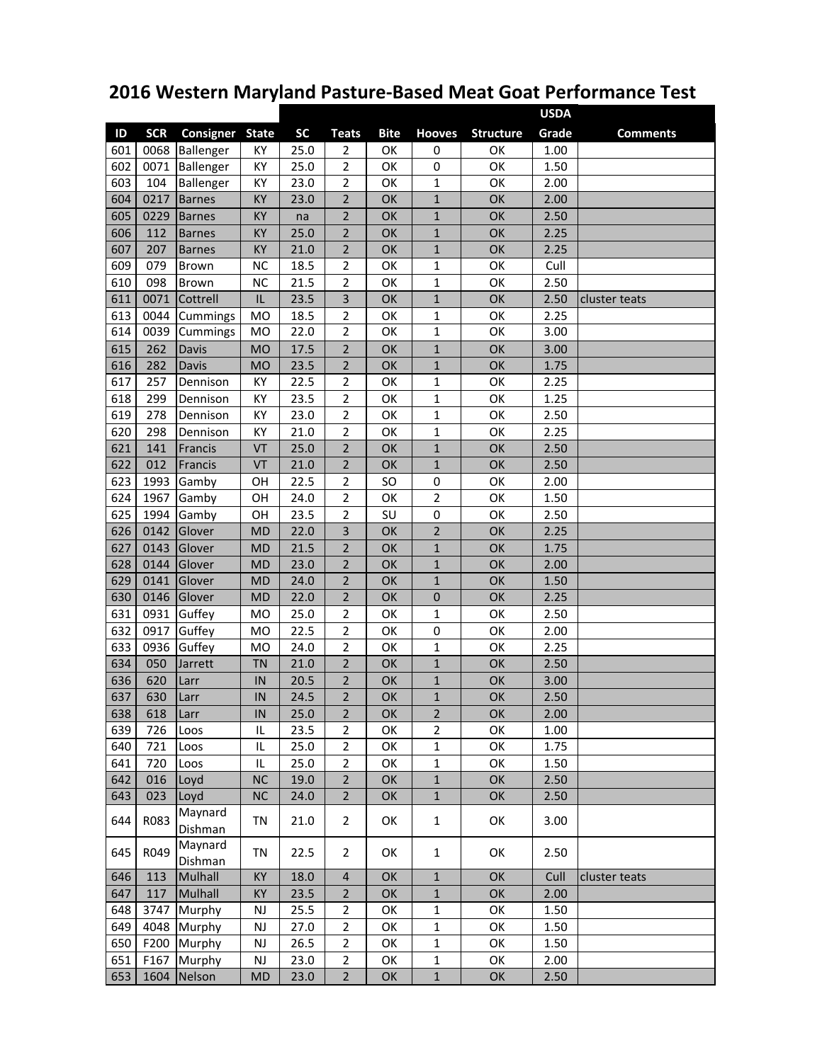## **2016 Western Maryland Pasture‐Based Meat Goat Performance Test**

|     |            |                    |               |           |                         |             |                |                  | <b>USDA</b> |                 |
|-----|------------|--------------------|---------------|-----------|-------------------------|-------------|----------------|------------------|-------------|-----------------|
| ID  | <b>SCR</b> | Consigner          | <b>State</b>  | <b>SC</b> | <b>Teats</b>            | <b>Bite</b> | <b>Hooves</b>  | <b>Structure</b> | Grade       | <b>Comments</b> |
| 601 | 0068       | Ballenger          | KY            | 25.0      | 2                       | OK          | $\mathbf 0$    | OK               | 1.00        |                 |
| 602 | 0071       | Ballenger          | KY            | 25.0      | 2                       | OK          | 0              | OK               | 1.50        |                 |
| 603 | 104        | Ballenger          | KY            | 23.0      | $\overline{\mathbf{c}}$ | OK          | $\mathbf{1}$   | OK               | 2.00        |                 |
| 604 | 0217       | <b>Barnes</b>      | KY            | 23.0      | $\overline{2}$          | OK          | $\mathbf 1$    | OK               | 2.00        |                 |
| 605 | 0229       | <b>Barnes</b>      | KY            | na        | $\overline{2}$          | OK          | $\mathbf{1}$   | OK               | 2.50        |                 |
| 606 | 112        | <b>Barnes</b>      | KY            | 25.0      | 2                       | OK          | $\mathbf{1}$   | OK               | 2.25        |                 |
| 607 | 207        | <b>Barnes</b>      | KY            | 21.0      | $\overline{2}$          | OK          | $\mathbf 1$    | OK               | 2.25        |                 |
| 609 | 079        | Brown              | <b>NC</b>     | 18.5      | 2                       | OK          | $\mathbf 1$    | OK               | Cull        |                 |
| 610 | 098        | <b>Brown</b>       | <b>NC</b>     | 21.5      | $\overline{2}$          | OK          | $\mathbf 1$    | OK               | 2.50        |                 |
| 611 | 0071       | Cottrell           | IL            | 23.5      | 3                       | OK          | $\mathbf 1$    | OK               | 2.50        | cluster teats   |
| 613 | 0044       | Cummings           | <b>MO</b>     | 18.5      | 2                       | OK          | $\mathbf 1$    | OK               | 2.25        |                 |
| 614 | 0039       | Cummings           | <b>MO</b>     | 22.0      | $\overline{2}$          | OK          | $\mathbf 1$    | OK               | 3.00        |                 |
| 615 | 262        | Davis              | <b>MO</b>     | 17.5      | $\overline{2}$          | OK          | $\mathbf{1}$   | OK               | 3.00        |                 |
| 616 | 282        | Davis              | <b>MO</b>     | 23.5      | $\overline{2}$          | OK          | $\mathbf{1}$   | OK               | 1.75        |                 |
| 617 | 257        |                    | KY            | 22.5      |                         | OK          | $\mathbf{1}$   | OK               | 2.25        |                 |
|     |            | Dennison           |               |           | 2<br>$\overline{2}$     |             |                |                  |             |                 |
| 618 | 299        | Dennison           | KY            | 23.5      |                         | OK          | $\mathbf{1}$   | OK               | 1.25        |                 |
| 619 | 278        | Dennison           | KY            | 23.0      | 2                       | OK          | $\mathbf 1$    | OK               | 2.50        |                 |
| 620 | 298        | Dennison           | KY            | 21.0      | $\overline{2}$          | OK          | $\mathbf 1$    | OK               | 2.25        |                 |
| 621 | 141        | Francis            | VT            | 25.0      | $\overline{2}$          | OK          | $\mathbf{1}$   | OK               | 2.50        |                 |
| 622 | 012        | Francis            | VT            | 21.0      | $\overline{2}$          | OK          | $\mathbf 1$    | OK               | 2.50        |                 |
| 623 | 1993       | Gamby              | OH            | 22.5      | $\overline{2}$          | SO          | 0              | ОК               | 2.00        |                 |
| 624 | 1967       | Gamby              | OH            | 24.0      | $\overline{2}$          | OK          | $\mathbf 2$    | ОК               | 1.50        |                 |
| 625 | 1994       | Gamby              | OH            | 23.5      | 2                       | SU          | 0              | OK               | 2.50        |                 |
| 626 | 0142       | Glover             | <b>MD</b>     | 22.0      | 3                       | OK          | $\overline{2}$ | OK               | 2.25        |                 |
| 627 | 0143       | Glover             | <b>MD</b>     | 21.5      | $\overline{2}$          | OK          | $\mathbf 1$    | OK               | 1.75        |                 |
| 628 | 0144       | Glover             | <b>MD</b>     | 23.0      | $\overline{2}$          | OK          | $\mathbf 1$    | OK               | 2.00        |                 |
| 629 | 0141       | Glover             | <b>MD</b>     | 24.0      | $\overline{\mathbf{c}}$ | OK          | $\mathbf 1$    | OK               | 1.50        |                 |
| 630 | 0146       | Glover             | <b>MD</b>     | 22.0      | $\overline{2}$          | OK          | $\mathbf 0$    | OK               | 2.25        |                 |
| 631 | 0931       | Guffey             | <b>MO</b>     | 25.0      | $\overline{2}$          | OK          | $\mathbf 1$    | OK               | 2.50        |                 |
| 632 | 0917       | Guffey             | <b>MO</b>     | 22.5      | $\overline{2}$          | OK          | $\mathbf 0$    | OK               | 2.00        |                 |
| 633 | 0936       | Guffey             | <b>MO</b>     | 24.0      | 2                       | OK          | $\mathbf 1$    | ОК               | 2.25        |                 |
| 634 | 050        | Jarrett            | <b>TN</b>     | 21.0      | 2                       | OK          | $\mathbf 1$    | OK               | 2.50        |                 |
| 636 | 620        | Larr               | IN            | 20.5      | $\overline{2}$          | OK          | $\mathbf{1}$   | OK               | 3.00        |                 |
| 637 | 630        | Larr               | IN            | 24.5      | $\overline{2}$          | OK          | $\mathbf 1$    | OK               | 2.50        |                 |
| 638 | 618        | Larr               | IN            | 25.0      | 2                       | OК.         | 2              | OК.              | 2.00        |                 |
| 639 | 726        | Loos               | IL            | 23.5      | 2                       | OK          | $\overline{2}$ | OK               | 1.00        |                 |
| 640 | 721        | Loos               | IL            | 25.0      | $\overline{2}$          | OK          | $\mathbf{1}$   | OK               | 1.75        |                 |
| 641 | 720        | Loos               | IL            | 25.0      | $\overline{2}$          | OK          | $\mathbf 1$    | OK               | 1.50        |                 |
| 642 | 016        | Loyd               | <b>NC</b>     | 19.0      | $\overline{2}$          | OK          | $\mathbf{1}$   | OK               | 2.50        |                 |
| 643 | 023        | Loyd               | NC            | 24.0      | $\overline{2}$          | OK          | $1\,$          | OK               | 2.50        |                 |
| 644 | R083       | Maynard<br>Dishman | TN            | 21.0      | $\overline{2}$          | OK          | $\mathbf{1}$   | OK               | 3.00        |                 |
| 645 | R049       | Maynard<br>Dishman | <b>TN</b>     | 22.5      | $\overline{2}$          | OK          | $\mathbf{1}$   | OK               | 2.50        |                 |
| 646 | 113        | Mulhall            | KY            | 18.0      | $\overline{\mathbf{4}}$ | OK          | $\mathbf 1$    | OK               | Cull        | cluster teats   |
| 647 | 117        | Mulhall            | KY            | 23.5      | $\overline{2}$          | OK          | $\mathbf 1$    | OK               | 2.00        |                 |
| 648 | 3747       | Murphy             | $\mathsf{NJ}$ | 25.5      | $\overline{2}$          | OK          | $\mathbf 1$    | OK               | 1.50        |                 |
| 649 | 4048       | Murphy             | $\mathsf{NJ}$ | 27.0      | $\overline{2}$          | OK          | $\mathbf{1}$   | OK               | 1.50        |                 |
| 650 | F200       | Murphy             | $\mathsf{NJ}$ | 26.5      | $\overline{2}$          | OK          | $\mathbf{1}$   | OK               | 1.50        |                 |
| 651 | F167       | Murphy             | $\mathsf{NJ}$ | 23.0      | $\overline{2}$          | OK          | $\mathbf 1$    | OK               | 2.00        |                 |
| 653 | 1604       | Nelson             | MD            | 23.0      | $\overline{2}$          | OK          | $\mathbf 1$    | OK               | 2.50        |                 |